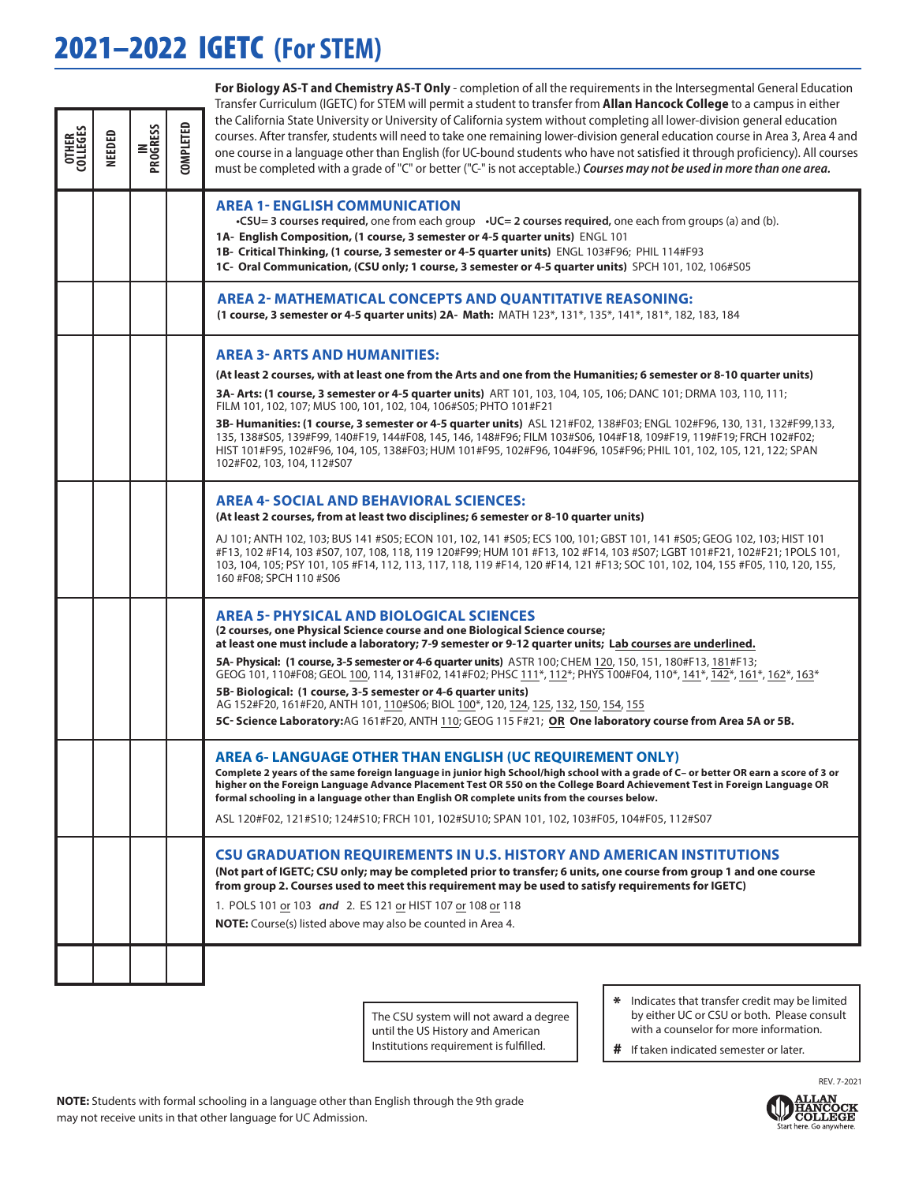## 2021–2022 IGETC **(For STEM)**

|                          |        |                        |                  | For Biology AS-T and Chemistry AS-T Only - completion of all the requirements in the Intersegmental General Education<br>Transfer Curriculum (IGETC) for STEM will permit a student to transfer from Allan Hancock College to a campus in either                                                                                                                                                                                                                                                                                                                                                                                                                                                                                                      |
|--------------------------|--------|------------------------|------------------|-------------------------------------------------------------------------------------------------------------------------------------------------------------------------------------------------------------------------------------------------------------------------------------------------------------------------------------------------------------------------------------------------------------------------------------------------------------------------------------------------------------------------------------------------------------------------------------------------------------------------------------------------------------------------------------------------------------------------------------------------------|
| <b>OTHER</b><br>COLLEGES | NEEDED | <b>IN<br/>PROGRESS</b> | <b>COMPLETED</b> | the California State University or University of California system without completing all lower-division general education<br>courses. After transfer, students will need to take one remaining lower-division general education course in Area 3, Area 4 and<br>one course in a language other than English (for UC-bound students who have not satisfied it through proficiency). All courses<br>must be completed with a grade of "C" or better ("C-" is not acceptable.) Courses may not be used in more than one area.                                                                                                                                                                                                                           |
|                          |        |                        |                  | <b>AREA 1- ENGLISH COMMUNICATION</b><br>•CSU=3 courses required, one from each group • $UC=2$ courses required, one each from groups (a) and (b).<br>1A- English Composition, (1 course, 3 semester or 4-5 quarter units) ENGL 101<br>1B- Critical Thinking, (1 course, 3 semester or 4-5 quarter units) ENGL 103#F96; PHIL 114#F93<br>1C- Oral Communication, (CSU only; 1 course, 3 semester or 4-5 quarter units) SPCH 101, 102, 106#S05                                                                                                                                                                                                                                                                                                           |
|                          |        |                        |                  | <b>AREA 2- MATHEMATICAL CONCEPTS AND QUANTITATIVE REASONING:</b><br>(1 course, 3 semester or 4-5 quarter units) 2A- Math: MATH 123*, 131*, 135*, 141*, 181*, 182, 183, 184                                                                                                                                                                                                                                                                                                                                                                                                                                                                                                                                                                            |
|                          |        |                        |                  | <b>AREA 3- ARTS AND HUMANITIES:</b>                                                                                                                                                                                                                                                                                                                                                                                                                                                                                                                                                                                                                                                                                                                   |
|                          |        |                        |                  | (At least 2 courses, with at least one from the Arts and one from the Humanities; 6 semester or 8-10 quarter units)                                                                                                                                                                                                                                                                                                                                                                                                                                                                                                                                                                                                                                   |
|                          |        |                        |                  | 3A- Arts: (1 course, 3 semester or 4-5 quarter units) ART 101, 103, 104, 105, 106; DANC 101; DRMA 103, 110, 111;<br>FILM 101, 102, 107; MUS 100, 101, 102, 104, 106#S05; PHTO 101#F21                                                                                                                                                                                                                                                                                                                                                                                                                                                                                                                                                                 |
|                          |        |                        |                  | 3B- Humanities: (1 course, 3 semester or 4-5 quarter units) ASL 121#F02, 138#F03; ENGL 102#F96, 130, 131, 132#F99,133,<br>135, 138#S05, 139#F99, 140#F19, 144#F08, 145, 146, 148#F96; FILM 103#S06, 104#F18, 109#F19, 119#F19; FRCH 102#F02;<br>HIST 101#F95, 102#F96, 104, 105, 138#F03; HUM 101#F95, 102#F96, 104#F96, 105#F96; PHIL 101, 102, 105, 121, 122; SPAN<br>102#F02, 103, 104, 112#S07                                                                                                                                                                                                                                                                                                                                                    |
|                          |        |                        |                  | <b>AREA 4- SOCIAL AND BEHAVIORAL SCIENCES:</b><br>(At least 2 courses, from at least two disciplines; 6 semester or 8-10 quarter units)                                                                                                                                                                                                                                                                                                                                                                                                                                                                                                                                                                                                               |
|                          |        |                        |                  | AJ 101; ANTH 102, 103; BUS 141 #S05; ECON 101, 102, 141 #S05; ECS 100, 101; GBST 101, 141 #S05; GEOG 102, 103; HIST 101<br>#F13, 102 #F14, 103 #S07, 107, 108, 118, 119 120#F99; HUM 101 #F13, 102 #F14, 103 #S07; LGBT 101#F21, 102#F21; 1POLS 101,<br>103, 104, 105; PSY 101, 105 #F14, 112, 113, 117, 118, 119 #F14, 120 #F14, 121 #F13; SOC 101, 102, 104, 155 #F05, 110, 120, 155,<br>160 #F08; SPCH 110 #S06                                                                                                                                                                                                                                                                                                                                    |
|                          |        |                        |                  | <b>AREA 5- PHYSICAL AND BIOLOGICAL SCIENCES</b><br>(2 courses, one Physical Science course and one Biological Science course;<br>at least one must include a laboratory; 7-9 semester or 9-12 quarter units; Lab courses are underlined.<br>5A- Physical: (1 course, 3-5 semester or 4-6 quarter units) ASTR 100; CHEM 120, 150, 151, 180#F13, 181#F13;<br>GEOG 101, 110#F08; GEOL 100, 114, 131#F02, 141#F02; PHSC 111*, 112*; PHYS 100#F04, 110*, 141*, 142*, 161*, 162*, 163*<br>5B-Biological: (1 course, 3-5 semester or 4-6 quarter units)<br>AG 152#F20, 161#F20, ANTH 101, 110#S06; BIOL 100*, 120, 124, 125, 132, 150, 154, 155<br>5C- Science Laboratory: AG 161#F20, ANTH 110; GEOG 115 F#21; OR One laboratory course from Area 5A or 5B. |
|                          |        |                        |                  | <b>AREA 6- LANGUAGE OTHER THAN ENGLISH (UC REQUIREMENT ONLY)</b><br>Complete 2 years of the same foreign language in junior high School/high school with a grade of C- or better OR earn a score of 3 or<br>higher on the Foreign Language Advance Placement Test OR 550 on the College Board Achievement Test in Foreign Language OR<br>formal schooling in a language other than English OR complete units from the courses below.                                                                                                                                                                                                                                                                                                                  |
|                          |        |                        |                  | ASL 120#F02, 121#S10; 124#S10; FRCH 101, 102#SU10; SPAN 101, 102, 103#F05, 104#F05, 112#S07                                                                                                                                                                                                                                                                                                                                                                                                                                                                                                                                                                                                                                                           |
|                          |        |                        |                  | <b>CSU GRADUATION REQUIREMENTS IN U.S. HISTORY AND AMERICAN INSTITUTIONS</b><br>(Not part of IGETC; CSU only; may be completed prior to transfer; 6 units, one course from group 1 and one course<br>from group 2. Courses used to meet this requirement may be used to satisfy requirements for IGETC)<br>1. POLS 101 or 103 and 2. ES 121 or HIST 107 or 108 or 118<br><b>NOTE:</b> Course(s) listed above may also be counted in Area 4.                                                                                                                                                                                                                                                                                                           |
|                          |        |                        |                  |                                                                                                                                                                                                                                                                                                                                                                                                                                                                                                                                                                                                                                                                                                                                                       |
|                          |        |                        |                  |                                                                                                                                                                                                                                                                                                                                                                                                                                                                                                                                                                                                                                                                                                                                                       |
|                          |        |                        |                  |                                                                                                                                                                                                                                                                                                                                                                                                                                                                                                                                                                                                                                                                                                                                                       |

The CSU system will not award a degree until the US History and American Institutions requirement is fulfilled.

- Indicates that transfer credit may be limited by either UC or CSU or both. Please consult with a counselor for more information.
- # If taken indicated semester or later.